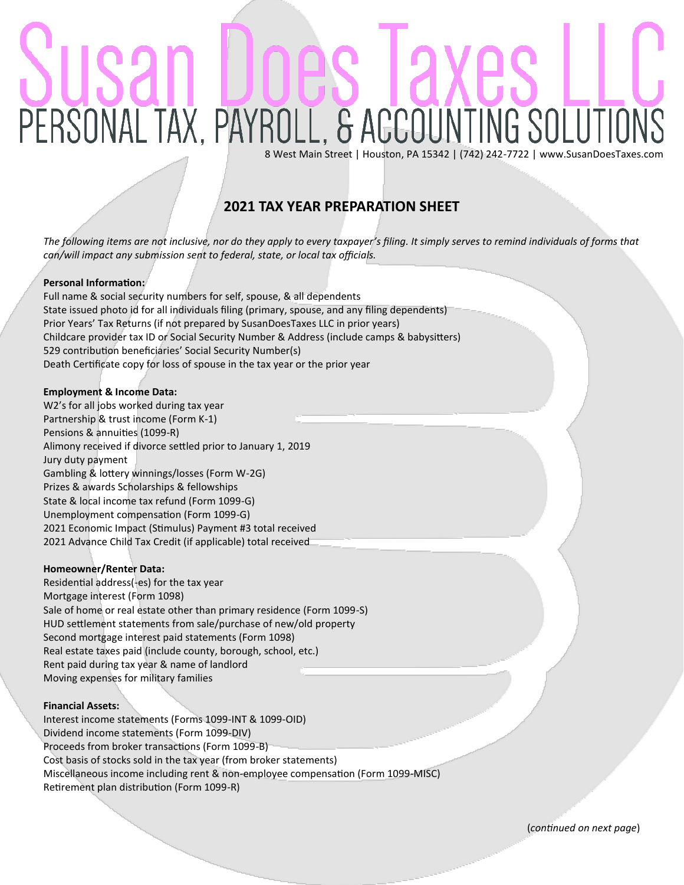# PERSONAL TAX, PAYROLL, & ACCOUNTING SOLUTIO

8 West Main Street | Houston, PA 15342 | (742) 242-7722 | www.SusanDoesTaxes.com

# **2021 TAX YEAR PREPARATION SHEET**

*The following items are not inclusive, nor do they apply to every taxpayer's filing. It simply serves to remind individuals of forms that can/will impact any submission sent to federal, state, or local tax officials.* 

## **Personal Information:**

Full name & social security numbers for self, spouse, & all dependents State issued photo id for all individuals filing (primary, spouse, and any filing dependents) Prior Years' Tax Returns (if not prepared by SusanDoesTaxes LLC in prior years) Childcare provider tax ID or Social Security Number & Address (include camps & babysitters) 529 contribution beneficiaries' Social Security Number(s) Death Certificate copy for loss of spouse in the tax year or the prior year

### **Employment & Income Data:**

W2's for all jobs worked during tax year Partnership & trust income (Form K-1) Pensions & annuities (1099-R) Alimony received if divorce settled prior to January 1, 2019 Jury duty payment Gambling & lottery winnings/losses (Form W-2G) Prizes & awards Scholarships & fellowships State & local income tax refund (Form 1099-G) Unemployment compensation (Form 1099-G) 2021 Economic Impact (Stimulus) Payment #3 total received 2021 Advance Child Tax Credit (if applicable) total received

### **Homeowner/Renter Data:**

Residential address(-es) for the tax year Mortgage interest (Form 1098) Sale of home or real estate other than primary residence (Form 1099-S) HUD settlement statements from sale/purchase of new/old property Second mortgage interest paid statements (Form 1098) Real estate taxes paid (include county, borough, school, etc.) Rent paid during tax year & name of landlord Moving expenses for military families

### **Financial Assets:**

Interest income statements (Forms 1099-INT & 1099-OID) Dividend income statements (Form 1099-DIV) Proceeds from broker transactions (Form 1099-B) Cost basis of stocks sold in the tax year (from broker statements) Miscellaneous income including rent & non-employee compensation (Form 1099-MISC) Retirement plan distribution (Form 1099-R)